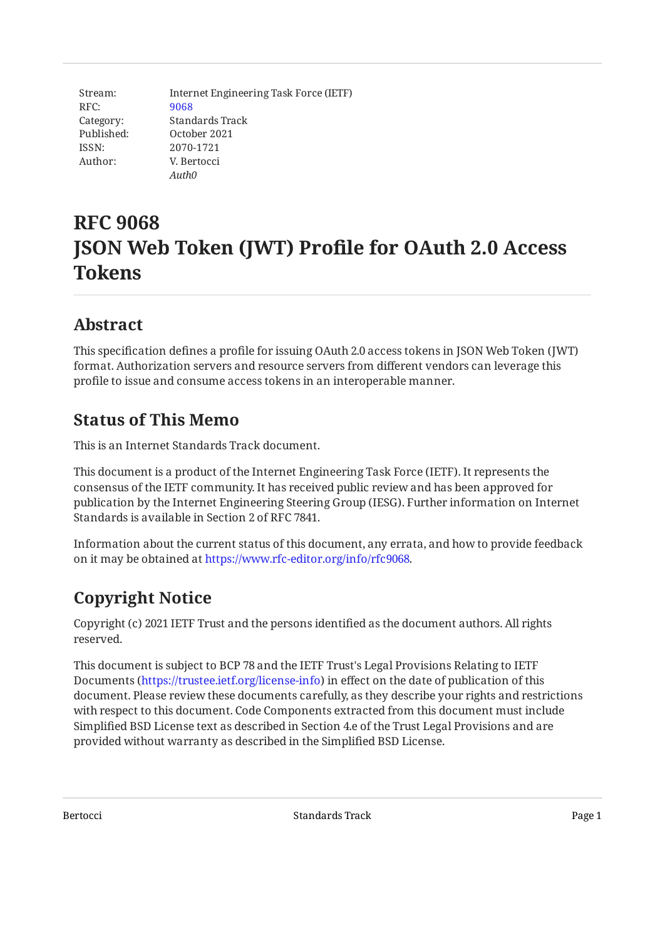Stream: RFC: Category: Published: ISSN: Author: Internet Engineering Task Force (IETF) [9068](https://www.rfc-editor.org/rfc/rfc9068) Standards Track October 2021 2070-1721 V. Bertocci *Auth0*

# **RFC 9068 JSON Web Token (JWT) Profile for OAuth 2.0 Access Tokens**

# <span id="page-0-0"></span>**[Abstract](#page-0-0)**

This specification defines a profile for issuing OAuth 2.0 access tokens in JSON Web Token (JWT) format. Authorization servers and resource servers from different vendors can leverage this profile to issue and consume access tokens in an interoperable manner.

# <span id="page-0-1"></span>**[Status of This Memo](#page-0-1)**

This is an Internet Standards Track document.

This document is a product of the Internet Engineering Task Force (IETF). It represents the consensus of the IETF community. It has received public review and has been approved for publication by the Internet Engineering Steering Group (IESG). Further information on Internet Standards is available in Section 2 of RFC 7841.

Information about the current status of this document, any errata, and how to provide feedback on it may be obtained at [https://www.rfc-editor.org/info/rfc9068.](https://www.rfc-editor.org/info/rfc9068)

# <span id="page-0-2"></span>**[Copyright Notice](#page-0-2)**

Copyright (c) 2021 IETF Trust and the persons identified as the document authors. All rights reserved.

This document is subject to BCP 78 and the IETF Trust's Legal Provisions Relating to IETF Documents (<https://trustee.ietf.org/license-info>) in effect on the date of publication of this document. Please review these documents carefully, as they describe your rights and restrictions with respect to this document. Code Components extracted from this document must include Simplified BSD License text as described in Section 4.e of the Trust Legal Provisions and are provided without warranty as described in the Simplified BSD License.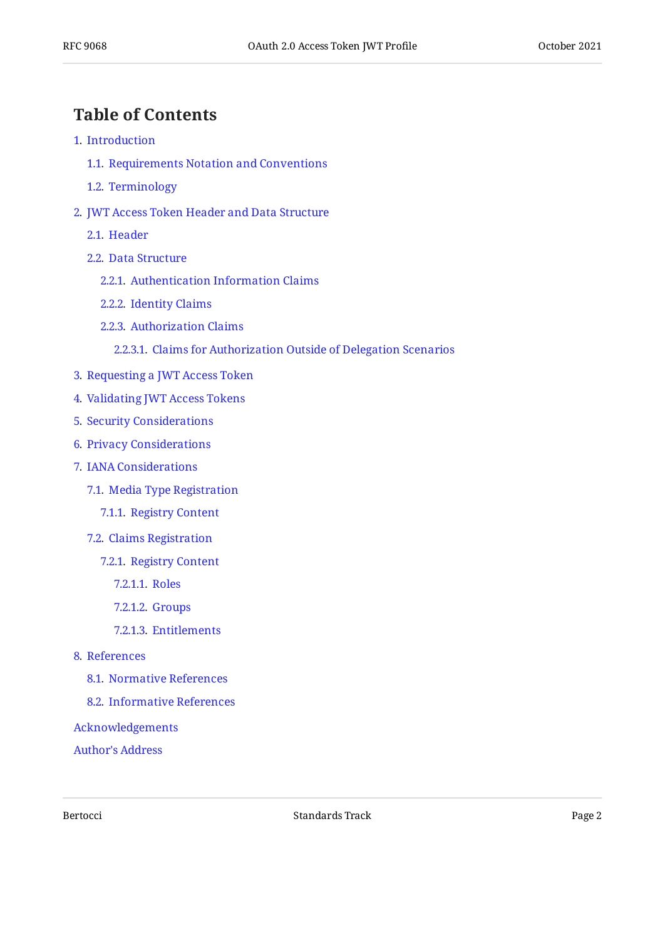# <span id="page-1-0"></span>**[Table of Contents](#page-1-0)**

- [1](#page-2-0). [Introduction](#page-2-0)
	- [1.1.](#page-3-0) [Requirements Notation and Conventions](#page-3-0)
	- [1.2.](#page-3-1) [Terminology](#page-3-1)
- [2](#page-3-2). [JWT Access Token Header and Data Structure](#page-3-2)
	- [2.1.](#page-3-3) [Header](#page-3-3)
	- [2.2.](#page-3-4) [Data Structure](#page-3-4)
		- [2.2.1](#page-4-0). [Authentication Information Claims](#page-4-0)
		- [2.2.2](#page-4-1). [Identity Claims](#page-4-1)
		- [2.2.3](#page-5-0). [Authorization Claims](#page-5-0)
			- [2.2.3.1.](#page-5-1) [Claims for Authorization Outside of Delegation Scenarios](#page-5-1)
- [3](#page-5-2). [Requesting a JWT Access Token](#page-5-2)
- [4](#page-7-0). [Validating JWT Access Tokens](#page-7-0)
- [5](#page-8-0). [Security Considerations](#page-8-0)
- [6](#page-9-0). [Privacy Considerations](#page-9-0)
- [7](#page-10-0). [IANA Considerations](#page-10-0)
	- [7.1.](#page-10-1) [Media Type Registration](#page-10-1)
		- [7.1.1](#page-10-2). [Registry Content](#page-10-2)
	- [7.2.](#page-11-0) [Claims Registration](#page-11-0)
		- [7.2.1](#page-11-1). [Registry Content](#page-11-1)
			- [7.2.1.1.](#page-11-2) [Roles](#page-11-2)
			- [7.2.1.2.](#page-11-3) [Groups](#page-11-3)
			- [7.2.1.3.](#page-11-4) [Entitlements](#page-11-4)
- [8](#page-12-0). [References](#page-12-0)
	- [8.1.](#page-12-1) [Normative References](#page-12-1)
	- [8.2.](#page-13-0) [Informative References](#page-13-0)
- [Acknowledgements](#page-13-1)
- [Author's Address](#page-14-0)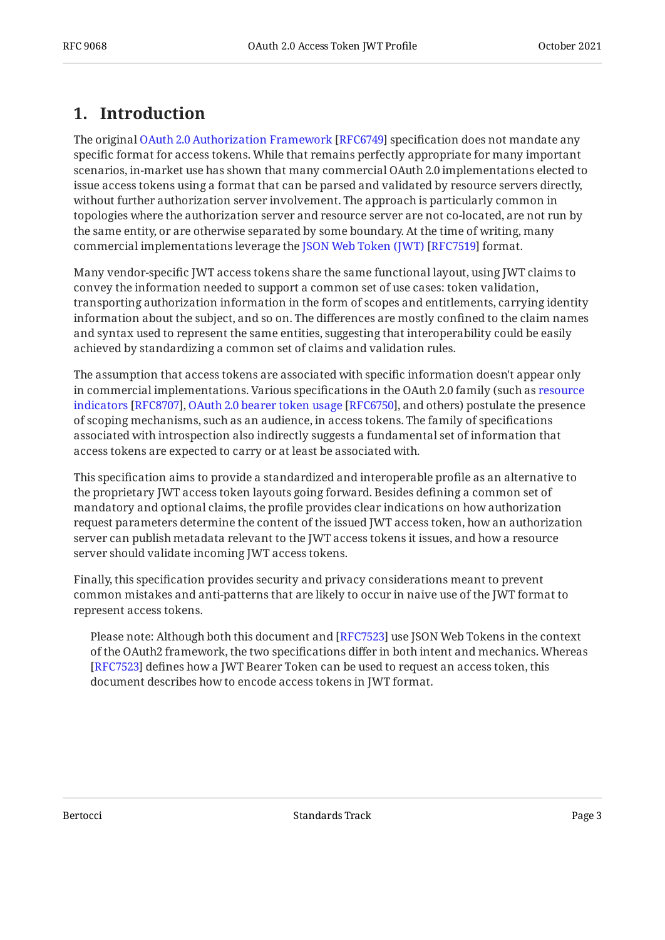# <span id="page-2-0"></span>**[1. Introduction](#page-2-0)**

Theoriginal OAuth 2.0 Authorization Framework [RFC6749] specification does not mandate any specific format for access tokens. While that remains perfectly appropriate for many important scenarios, in-market use has shown that many commercial OAuth 2.0 implementations elected to issue access tokens using a format that can be parsed and validated by resource servers directly, without further authorization server involvement. The approach is particularly common in topologies where the authorization server and resource server are not co-located, are not run by the same entity, or are otherwise separated by some boundary. At the time of writing, many commercialimplementations leverage the JSON Web Token (JWT) [RFC7519] format.

Many vendor-specific JWT access tokens share the same functional layout, using JWT claims to convey the information needed to support a common set of use cases: token validation, transporting authorization information in the form of scopes and entitlements, carrying identity information about the subject, and so on. The differences are mostly confined to the claim names and syntax used to represent the same entities, suggesting that interoperability could be easily achieved by standardizing a common set of claims and validation rules.

The assumption that access tokens are associated with specific information doesn't appear only in commercial implementations. Various specifications in the OAuth 2.0 family (such as [resource](#page-13-2) indicators[[RFC8707\]](#page-13-2), OAuth 2.0 bearer token usage [RFC6750], and others) postulate the presence of scoping mechanisms, such as an audience, in access tokens. The family of specifications associated with introspection also indirectly suggests a fundamental set of information that access tokens are expected to carry or at least be associated with.

This specification aims to provide a standardized and interoperable profile as an alternative to the proprietary JWT access token layouts going forward. Besides defining a common set of mandatory and optional claims, the profile provides clear indications on how authorization request parameters determine the content of the issued JWT access token, how an authorization server can publish metadata relevant to the JWT access tokens it issues, and how a resource server should validate incoming JWT access tokens.

Finally, this specification provides security and privacy considerations meant to prevent common mistakes and anti-patterns that are likely to occur in naive use of the JWT format to represent access tokens.

Please note: Although both this document and [RFC7523] use JSON Web Tokens in the context of the OAuth2 framework, the two specifications differ in both intent and mechanics. Whereas [[RFC7523\]](#page-13-4) defines how a JWT Bearer Token can be used to request an access token, this document describes how to encode access tokens in JWT format.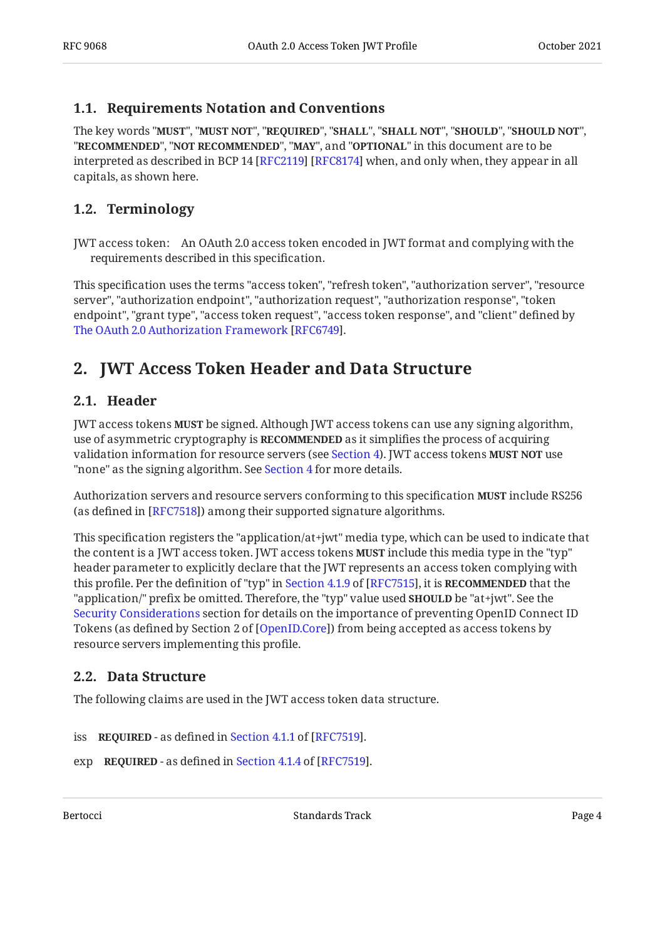### <span id="page-3-0"></span>**[1.1. Requirements Notation and Conventions](#page-3-0)**

The key words "MUST", "MUST NOT", "REQUIRED", "SHALL", "SHALL NOT", "SHOULD", "SHOULD NOT", "**RECOMMENDED", "NOT RECOMMENDED", "MAY",** and "OPTIONAL" in this document are to be interpreted as described in BCP 14 [RFC2119] [RFC8174] when, and only when, they appear in all capitals, as shown here.

### <span id="page-3-1"></span>**[1.2. Terminology](#page-3-1)**

JWT access token: An OAuth 2.0 access token encoded in JWT format and complying with the requirements described in this specification.

This specification uses the terms "access token", "refresh token", "authorization server", "resource server", "authorization endpoint", "authorization request", "authorization response", "token endpoint", "grant type", "access token request", "access token response", and "client" defined by [The OAuth 2.0 Authorization Framework](#page-12-2) [[RFC6749\]](#page-12-2).

# <span id="page-3-3"></span><span id="page-3-2"></span>**[2. JWT Access Token Header and Data Structure](#page-3-2)**

#### **[2.1. Header](#page-3-3)**

JWT access tokens **MUST** be signed. Although JWT access tokens can use any signing algorithm, use of asymmetric cryptography is **RECOMMENDED** as it simplifies the process of acquiring validation information for resource servers (see [Section 4\)](#page-7-0). JWT access tokens **MUST NOT** use "none" as the signing algorithm. See [Section 4](#page-7-0) for more details.

Authorization servers and resource servers conforming to this specification **MUST** include RS256 (as defined in [RFC7518]) among their supported signature algorithms.

This specification registers the "application/at+jwt" media type, which can be used to indicate that the content is a JWT access token. JWT access tokens **MUST** include this media type in the "typ" header parameter to explicitly declare that the JWT represents an access token complying with thisprofile. Per the definition of "typ" in Section 4.1.9 of [RFC7515]**,** it is **RECOMMENDED** that the "application/" prefix be omitted. Therefore, the "typ" value used **SHOULD** be "at+jwt". See the [Security Considerations](#page-8-0) section for details on the importance of preventing OpenID Connect ID Tokens (as defined by Section 2 of [OpenID.Core]) from being accepted as access tokens by resource servers implementing this profile.

### <span id="page-3-4"></span>**[2.2. Data Structure](#page-3-4)**

The following claims are used in the JWT access token data structure.

```
 REQUIRED - as defined in Section 4.1.1 of [RFC7519].
```

```
 REQUIRED - as defined in Section 4.1.4 of [RFC7519].
```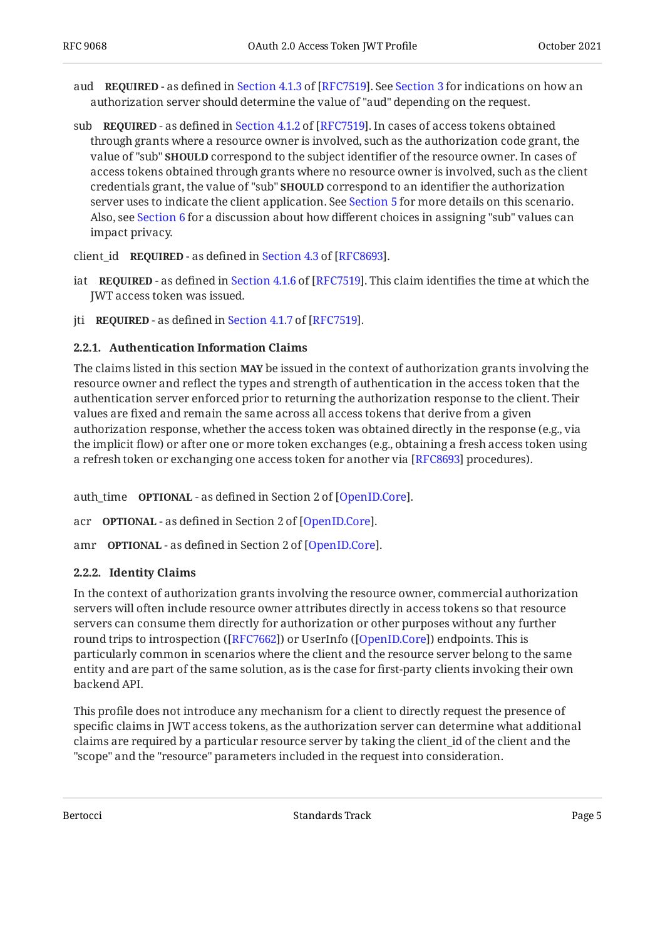- aud**REQUIRED** as defined in Section 4.1.3 of [RFC7519]. See [Section 3](#page-5-2) for indications on how an authorization server should determine the value of "aud" depending on the request.
- sub**REQUIRED** as defined in Section 4.1.2 of [RFC7519]. In cases of access tokens obtained through grants where a resource owner is involved, such as the authorization code grant, the value of "sub" **SHOULD** correspond to the subject identifier of the resource owner. In cases of access tokens obtained through grants where no resource owner is involved, such as the client credentials grant, the value of "sub" **SHOULD** correspond to an identifier the authorization server uses to indicate the client application. See [Section 5](#page-8-0) for more details on this scenario. Also, see [Section 6](#page-9-0) for a discussion about how different choices in assigning "sub" values can impact privacy.

client\_idREQUIRED - as defined in Section 4.3 of [RFC8693].

- iat **REQUIRED** as defined in Section 4.1.6 of [RFC7519]. This claim identifies the time at which the JWT access token was issued.
- <span id="page-4-0"></span>jti**REQUIRED** - as defined in Section 4.1.7 of [RFC7519].

#### **[2.2.1. Authentication Information Claims](#page-4-0)**

The claims listed in this section **MAY** be issued in the context of authorization grants involving the resource owner and reflect the types and strength of authentication in the access token that the authentication server enforced prior to returning the authorization response to the client. Their values are fixed and remain the same across all access tokens that derive from a given authorization response, whether the access token was obtained directly in the response (e.g., via the implicit flow) or after one or more token exchanges (e.g., obtaining a fresh access token using a refresh token or exchanging one access token for another via [RFC8693] procedures).

auth\_time **OPTIONAL** - as defined in Section 2 of [OpenID.Core].

acr **OPTIONAL** - as defined in Section 2 of [OpenID.Core].

<span id="page-4-1"></span>amr **OPTIONAL** - as defined in Section 2 of [OpenID.Core].

#### **[2.2.2. Identity Claims](#page-4-1)**

In the context of authorization grants involving the resource owner, commercial authorization servers will often include resource owner attributes directly in access tokens so that resource servers can consume them directly for authorization or other purposes without any further round trips to introspection ([RFC7662]) or UserInfo ([[OpenID.Core\]](#page-12-8)) endpoints. This is particularly common in scenarios where the client and the resource server belong to the same entity and are part of the same solution, as is the case for first-party clients invoking their own backend API.

This profile does not introduce any mechanism for a client to directly request the presence of specific claims in JWT access tokens, as the authorization server can determine what additional claims are required by a particular resource server by taking the client\_id of the client and the "scope" and the "resource" parameters included in the request into consideration.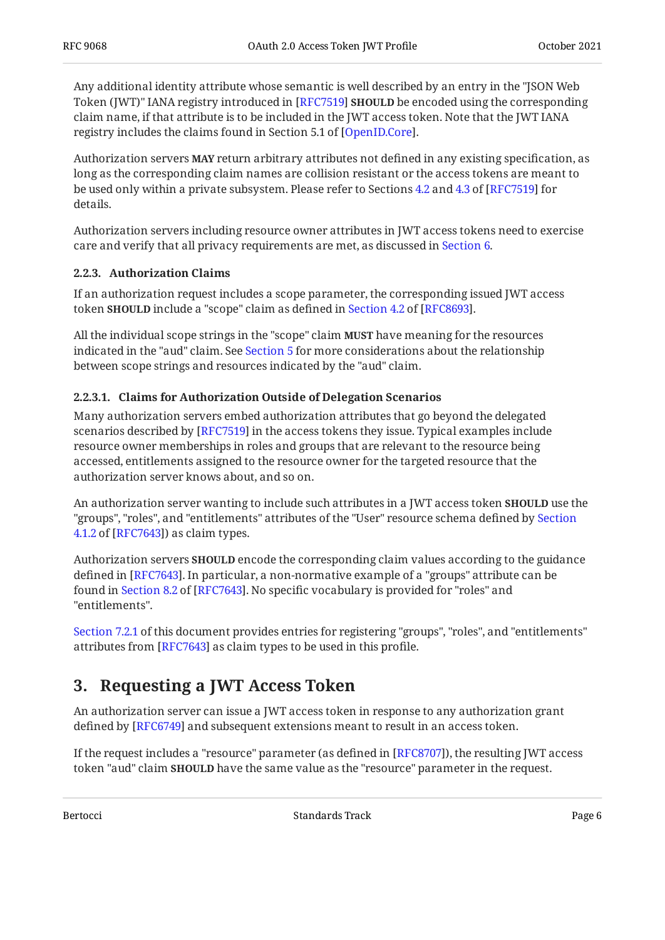Any additional identity attribute whose semantic is well described by an entry in the "JSON Web Token (JWT)" IANA registry introduced in [RFC7519**] SHOULD** be encoded using the corresponding claim name, if that attribute is to be included in the JWT access token. Note that the JWT IANA registry includes the claims found in Section 5.1 of [OpenID.Core].

Authorization servers **MAY** return arbitrary attributes not defined in any existing specification, as long as the corresponding claim names are collision resistant or the access tokens are meant to be used only within a private subsystem. Please refer to Sections  $4.2$  and  $4.3$  of [RFC7519] for details.

Authorization servers including resource owner attributes in JWT access tokens need to exercise care and verify that all privacy requirements are met, as discussed in [Section 6.](#page-9-0)

#### <span id="page-5-0"></span>**[2.2.3. Authorization Claims](#page-5-0)**

If an authorization request includes a scope parameter, the corresponding issued JWT access token**SHOULD** include a "scope" claim as defined in Section 4.2 of [RFC8693].

All the individual scope strings in the "scope" claim **MUST** have meaning for the resources indicated in the "aud" claim. See [Section 5](#page-8-0) for more considerations about the relationship between scope strings and resources indicated by the "aud" claim.

#### <span id="page-5-1"></span>**[2.2.3.1. Claims for Authorization Outside of Delegation Scenarios](#page-5-1)**

Many authorization servers embed authorization attributes that go beyond the delegated scenarios described by [RFC7519] in the access tokens they issue. Typical examples include resource owner memberships in roles and groups that are relevant to the resource being accessed, entitlements assigned to the resource owner for the targeted resource that the authorization server knows about, and so on.

An authorization server wanting to include such attributes in a JWT access token **SHOULD** use the "groups", "roles", and "entitlements" attributes of the "User" resource schema defined by [Section](https://www.rfc-editor.org/rfc/rfc7643#section-4.1.2) [4.1.2](https://www.rfc-editor.org/rfc/rfc7643#section-4.1.2) of [\[RFC7643\]](#page-12-9)) as claim types.

Authorization servers **SHOULD** encode the corresponding claim values according to the guidance defined in [RFC7643]. In particular, a non-normative example of a "groups" attribute can be foundin Section 8.2 of [RFC7643]. No specific vocabulary is provided for "roles" and "entitlements".

<span id="page-5-2"></span>[Section 7.2.1](#page-11-1) of this document provides entries for registering "groups", "roles", and "entitlements" attributes from [RFC7643] as claim types to be used in this profile.

# **[3. Requesting a JWT Access Token](#page-5-2)**

An authorization server can issue a JWT access token in response to any authorization grant defined by [RFC6749] and subsequent extensions meant to result in an access token.

If the request includes a "resource" parameter (as defined in [RFC8707]), the resulting JWT access token "aud" claim **SHOULD** have the same value as the "resource" parameter in the request.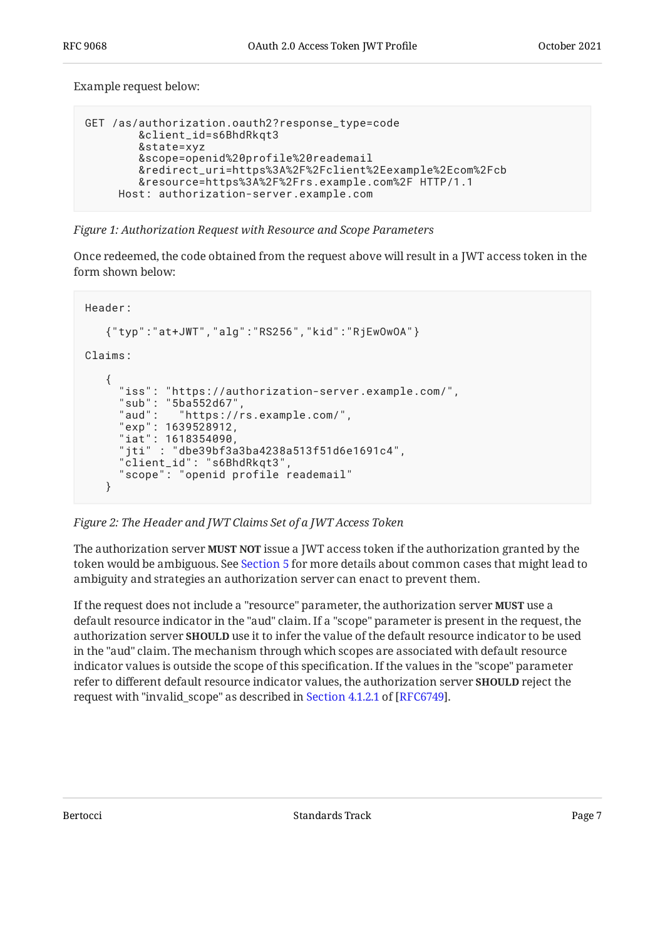Example request below:

```
GET /as/authorization.oauth2?response_type=code
         &client_id=s6BhdRkqt3
         &state=xyz
         &scope=openid%20profile%20reademail
         &redirect_uri=https%3A%2F%2Fclient%2Eexample%2Ecom%2Fcb
         &resource=https%3A%2F%2Frs.example.com%2F HTTP/1.1
      Host: authorization-server.example.com
```
*[Figure 1: Authorization Request with Resource and Scope Parameters](#page-6-0)* 

Once redeemed, the code obtained from the request above will result in a JWT access token in the form shown below:

```
Header:
    {"typ":"at+JWT","alg":"RS256","kid":"RjEwOwOA"}
Claims:
    {
      "iss": "https://authorization-server.example.com/",
      "sub": "5ba552d67",
      "aud": "https://rs.example.com/",
 "exp": 1639528912,
 "iat": 1618354090,
      "jti" : "dbe39bf3a3ba4238a513f51d6e1691c4",
      "client_id": "s6BhdRkqt3",
      "scope": "openid profile reademail"
    }
```
*[Figure 2: The Header and JWT Claims Set of a JWT Access Token](#page-6-1)* 

The authorization server **MUST NOT** issue a JWT access token if the authorization granted by the token would be ambiguous. See [Section 5](#page-8-0) for more details about common cases that might lead to ambiguity and strategies an authorization server can enact to prevent them.

If the request does not include a "resource" parameter, the authorization server **MUST** use a default resource indicator in the "aud" claim. If a "scope" parameter is present in the request, the authorization server **SHOULD** use it to infer the value of the default resource indicator to be used in the "aud" claim. The mechanism through which scopes are associated with default resource indicator values is outside the scope of this specification. If the values in the "scope" parameter refer to different default resource indicator values, the authorization server **SHOULD** reject the requestwith "invalid\_scope" as described in Section 4.1.2.1 of [RFC6749].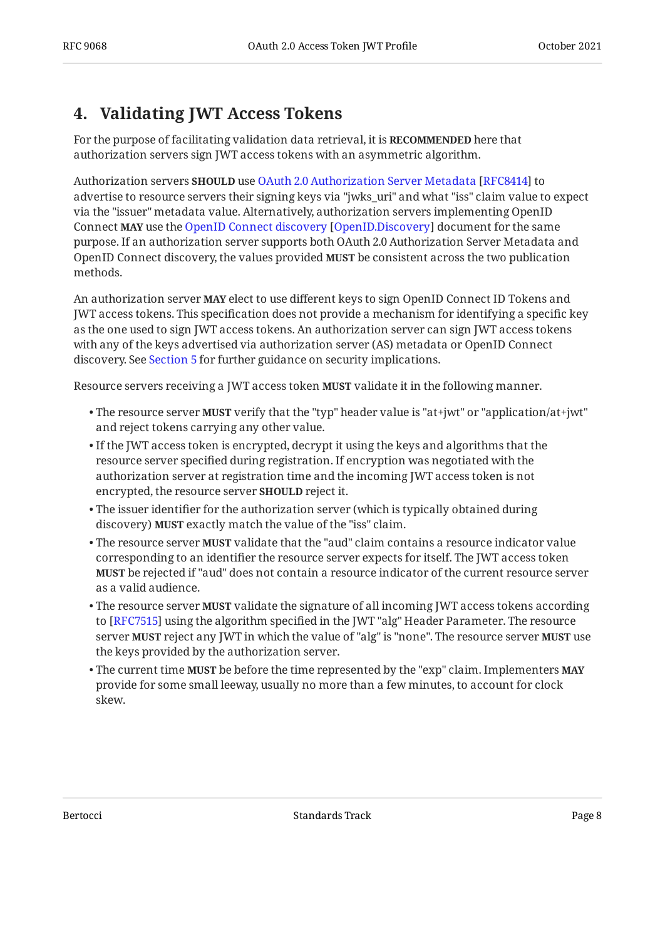# <span id="page-7-0"></span>**[4. Validating JWT Access Tokens](#page-7-0)**

For the purpose of facilitating validation data retrieval, it is **RECOMMENDED** here that authorization servers sign JWT access tokens with an asymmetric algorithm.

Authorizationservers **SHOULD** use OAuth 2.0 Authorization Server Metadata [RFC8414] to advertise to resource servers their signing keys via "jwks\_uri" and what "iss" claim value to expect via the "issuer" metadata value. Alternatively, authorization servers implementing OpenID Connect**MAY** use the OpenID Connect discovery [OpenID.Discovery] document for the same purpose. If an authorization server supports both OAuth 2.0 Authorization Server Metadata and OpenID Connect discovery, the values provided MUST be consistent across the two publication methods.

An authorization server **MAY** elect to use different keys to sign OpenID Connect ID Tokens and JWT access tokens. This specification does not provide a mechanism for identifying a specific key as the one used to sign JWT access tokens. An authorization server can sign JWT access tokens with any of the keys advertised via authorization server (AS) metadata or OpenID Connect discovery. See [Section 5](#page-8-0) for further guidance on security implications.

Resource servers receiving a JWT access token **MUST** validate it in the following manner.

- $\bullet$  The resource server **MUST** verify that the "typ" header value is "at+jwt" or "application/at+jwt" and reject tokens carrying any other value.
- $\bullet$  If the JWT access token is encrypted, decrypt it using the keys and algorithms that the resource server specified during registration. If encryption was negotiated with the authorization server at registration time and the incoming JWT access token is not encrypted, the resource server **SHOULD** reject it.
- The issuer identifier for the authorization server (which is typically obtained during discovery) **MUST** exactly match the value of the "iss" claim.
- $\bullet$  The resource server **MUST** validate that the "aud" claim contains a resource indicator value corresponding to an identifier the resource server expects for itself. The JWT access token be rejected if "aud" does not contain a resource indicator of the current resource server **MUST** as a valid audience.
- $\bullet$  The resource server **MUST** validate the signature of all incoming JWT access tokens according to [RFC7515] using the algorithm specified in the JWT "alg" Header Parameter. The resource server **MUST** reject any JWT in which the value of "alg" is "none". The resource server **MUST** use the keys provided by the authorization server.
- $\bullet$  The current time MUST be before the time represented by the "exp" claim. Implementers MAY provide for some small leeway, usually no more than a few minutes, to account for clock skew.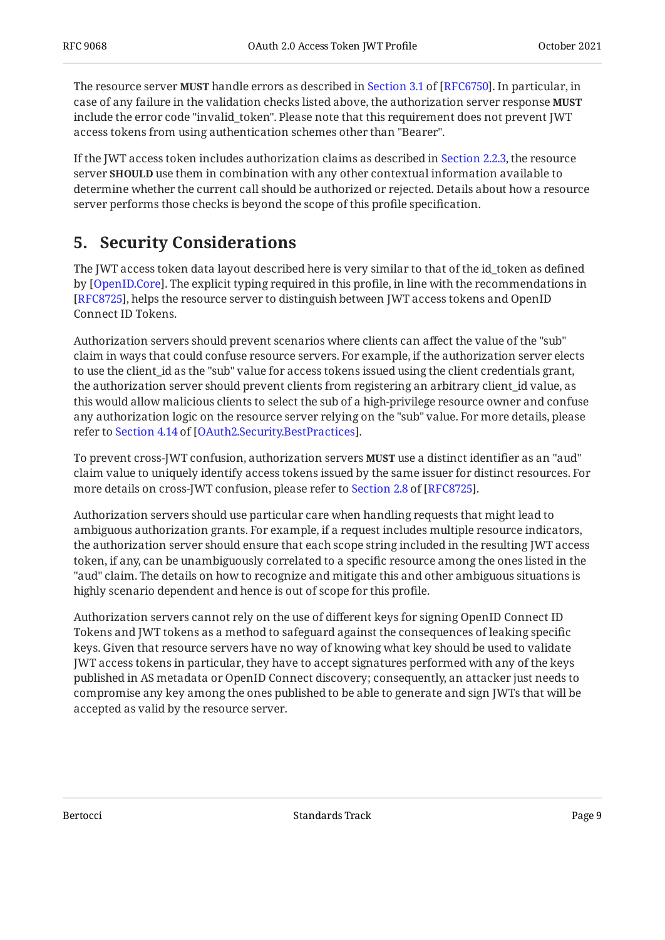Theresource server **MUST** handle errors as described in Section 3.1 of [RFC6750]. In particular, in case of any failure in the validation checks listed above, the authorization server response **MUST** include the error code "invalid\_token". Please note that this requirement does not prevent JWT access tokens from using authentication schemes other than "Bearer".

If the JWT access token includes authorization claims as described in [Section 2.2.3,](#page-5-0) the resource server **SHOULD** use them in combination with any other contextual information available to determine whether the current call should be authorized or rejected. Details about how a resource server performs those checks is beyond the scope of this profile specification.

# <span id="page-8-0"></span>**[5. Security Considerations](#page-8-0)**

The JWT access token data layout described here is very similar to that of the id\_token as defined by [[OpenID.Core\]](#page-12-8). The explicit typing required in this profile, in line with the recommendations in  $\,$ [[RFC8725\]](#page-13-7), helps the resource server to distinguish between JWT access tokens and OpenID Connect ID Tokens.

Authorization servers should prevent scenarios where clients can affect the value of the "sub" claim in ways that could confuse resource servers. For example, if the authorization server elects to use the client\_id as the "sub" value for access tokens issued using the client credentials grant, the authorization server should prevent clients from registering an arbitrary client\_id value, as this would allow malicious clients to select the sub of a high-privilege resource owner and confuse any authorization logic on the resource server relying on the "sub" value. For more details, please referto Section 4.14 of [OAuth2.Security.BestPractices].

To prevent cross-JWT confusion, authorization servers **MUST** use a distinct identifier as an "aud" claim value to uniquely identify access tokens issued by the same issuer for distinct resources. For moredetails on cross-JWT confusion, please refer to Section 2.8 of [RFC8725].

Authorization servers should use particular care when handling requests that might lead to ambiguous authorization grants. For example, if a request includes multiple resource indicators, the authorization server should ensure that each scope string included in the resulting JWT access token, if any, can be unambiguously correlated to a specific resource among the ones listed in the "aud" claim. The details on how to recognize and mitigate this and other ambiguous situations is highly scenario dependent and hence is out of scope for this profile.

Authorization servers cannot rely on the use of different keys for signing OpenID Connect ID Tokens and JWT tokens as a method to safeguard against the consequences of leaking specific keys. Given that resource servers have no way of knowing what key should be used to validate JWT access tokens in particular, they have to accept signatures performed with any of the keys published in AS metadata or OpenID Connect discovery; consequently, an attacker just needs to compromise any key among the ones published to be able to generate and sign JWTs that will be accepted as valid by the resource server.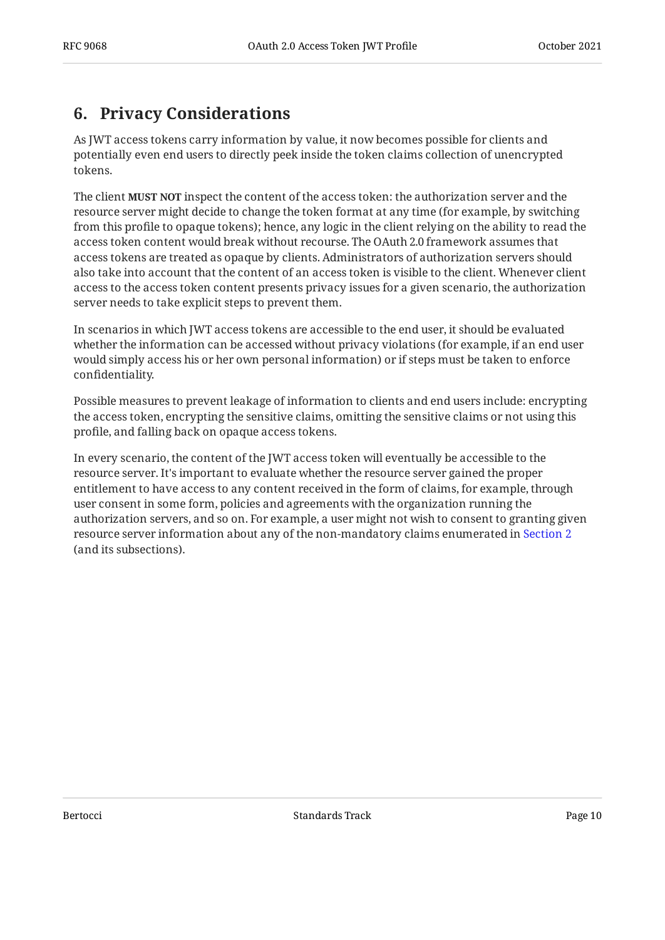# <span id="page-9-0"></span>**[6. Privacy Considerations](#page-9-0)**

As JWT access tokens carry information by value, it now becomes possible for clients and potentially even end users to directly peek inside the token claims collection of unencrypted tokens.

The client **MUST NOT** inspect the content of the access token: the authorization server and the resource server might decide to change the token format at any time (for example, by switching from this profile to opaque tokens); hence, any logic in the client relying on the ability to read the access token content would break without recourse. The OAuth 2.0 framework assumes that access tokens are treated as opaque by clients. Administrators of authorization servers should also take into account that the content of an access token is visible to the client. Whenever client access to the access token content presents privacy issues for a given scenario, the authorization server needs to take explicit steps to prevent them.

In scenarios in which JWT access tokens are accessible to the end user, it should be evaluated whether the information can be accessed without privacy violations (for example, if an end user would simply access his or her own personal information) or if steps must be taken to enforce confidentiality.

Possible measures to prevent leakage of information to clients and end users include: encrypting the access token, encrypting the sensitive claims, omitting the sensitive claims or not using this profile, and falling back on opaque access tokens.

In every scenario, the content of the JWT access token will eventually be accessible to the resource server. It's important to evaluate whether the resource server gained the proper entitlement to have access to any content received in the form of claims, for example, through user consent in some form, policies and agreements with the organization running the authorization servers, and so on. For example, a user might not wish to consent to granting given resource server information about any of the non-mandatory claims enumerated in [Section 2](#page-3-2) (and its subsections).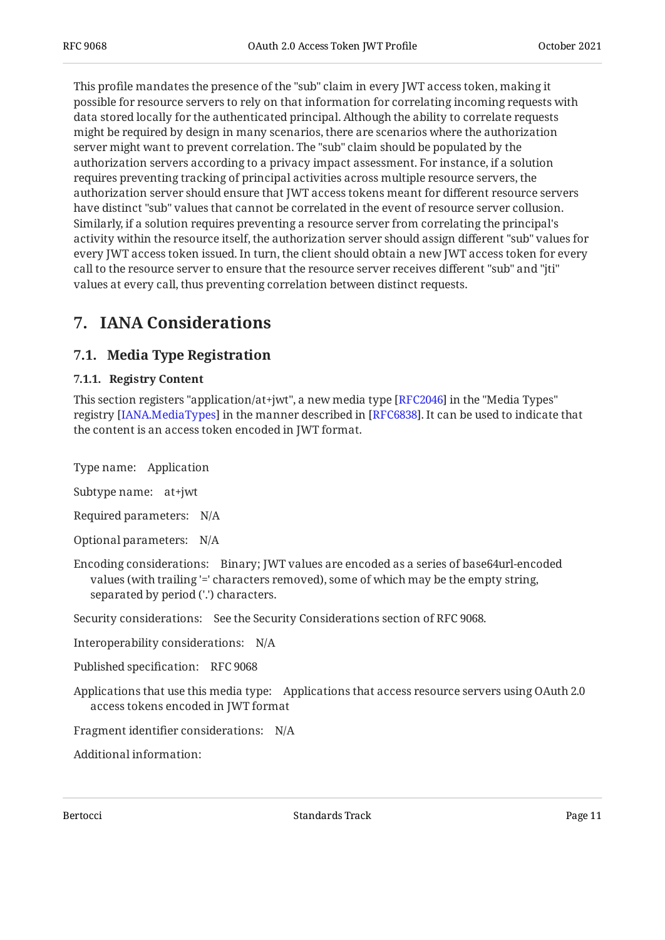This profile mandates the presence of the "sub" claim in every JWT access token, making it possible for resource servers to rely on that information for correlating incoming requests with data stored locally for the authenticated principal. Although the ability to correlate requests might be required by design in many scenarios, there are scenarios where the authorization server might want to prevent correlation. The "sub" claim should be populated by the authorization servers according to a privacy impact assessment. For instance, if a solution requires preventing tracking of principal activities across multiple resource servers, the authorization server should ensure that JWT access tokens meant for different resource servers have distinct "sub" values that cannot be correlated in the event of resource server collusion. Similarly, if a solution requires preventing a resource server from correlating the principal's activity within the resource itself, the authorization server should assign different "sub" values for every JWT access token issued. In turn, the client should obtain a new JWT access token for every call to the resource server to ensure that the resource server receives different "sub" and "jti" values at every call, thus preventing correlation between distinct requests.

# <span id="page-10-1"></span><span id="page-10-0"></span>**[7. IANA Considerations](#page-10-0)**

### <span id="page-10-2"></span>**[7.1. Media Type Registration](#page-10-1)**

#### **[7.1.1. Registry Content](#page-10-2)**

This section registers "application/at+jwt", a new media type [[RFC2046\]](#page-12-12) in the "Media Types" registry [IANA.MediaTypes] in the manner described in [RFC6838]. It can be used to indicate that the content is an access token encoded in JWT format.

Type name: Application

Subtype name: at+jwt

Required parameters: N/A

Optional parameters: N/A

Encoding considerations: Binary; JWT values are encoded as a series of base64url-encoded values (with trailing '=' characters removed), some of which may be the empty string, separated by period ('.') characters.

Security considerations: See the Security Considerations section of RFC 9068.

Interoperability considerations: N/A

Published specification: RFC 9068

Applications that use this media type: Applications that access resource servers using OAuth 2.0 access tokens encoded in JWT format

Fragment identifier considerations: N/A

Additional information: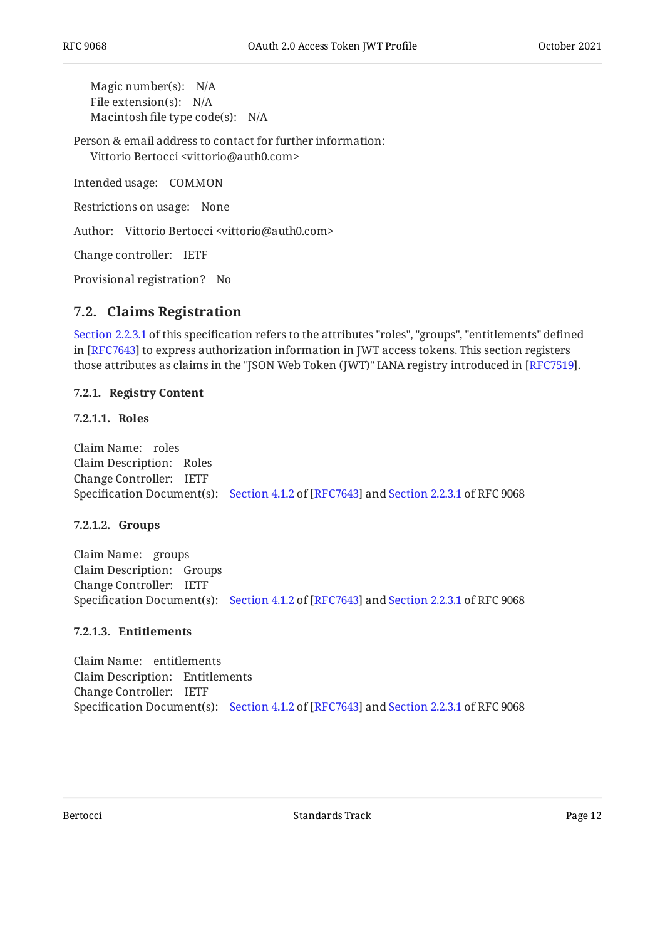Magic number(s): N/A File extension(s): N/A Macintosh file type code(s): N/A

Person & email address to contact for further information: Vittorio Bertocci <vittorio@auth0.com>

Intended usage: COMMON

Restrictions on usage: None

Author: Vittorio Bertocci <vittorio@auth0.com>

Change controller: IETF

<span id="page-11-0"></span>Provisional registration? No

#### **[7.2. Claims Registration](#page-11-0)**

[Section 2.2.3.1](#page-5-1) of this specification refers to the attributes "roles", "groups", "entitlements" defined in [RFC7643] to express authorization information in JWT access tokens. This section registers those attributes as claims in the "JSON Web Token (JWT)" IANA registry introduced in [RFC7519].

#### <span id="page-11-1"></span>**[7.2.1. Registry Content](#page-11-1)**

#### <span id="page-11-2"></span>**[7.2.1.1. Roles](#page-11-2)**

Claim Name: roles Claim Description: Roles Change Controller: IETF Specification Document(s): [Section 4.1.2](https://www.rfc-editor.org/rfc/rfc7643#section-4.1.2) of [\[RFC7643](#page-12-9)] and [Section 2.2.3.1](#page-5-1) of RFC 9068

#### <span id="page-11-3"></span>**[7.2.1.2. Groups](#page-11-3)**

Claim Name: groups Claim Description: Groups Change Controller: IETF Specification Document(s): [Section 4.1.2](https://www.rfc-editor.org/rfc/rfc7643#section-4.1.2) of [\[RFC7643](#page-12-9)] and [Section 2.2.3.1](#page-5-1) of RFC 9068

#### <span id="page-11-4"></span>**[7.2.1.3. Entitlements](#page-11-4)**

Claim Name: entitlements Claim Description: Entitlements Change Controller: IETF Specification Document(s): [Section 4.1.2](https://www.rfc-editor.org/rfc/rfc7643#section-4.1.2) of [\[RFC7643](#page-12-9)] and [Section 2.2.3.1](#page-5-1) of RFC 9068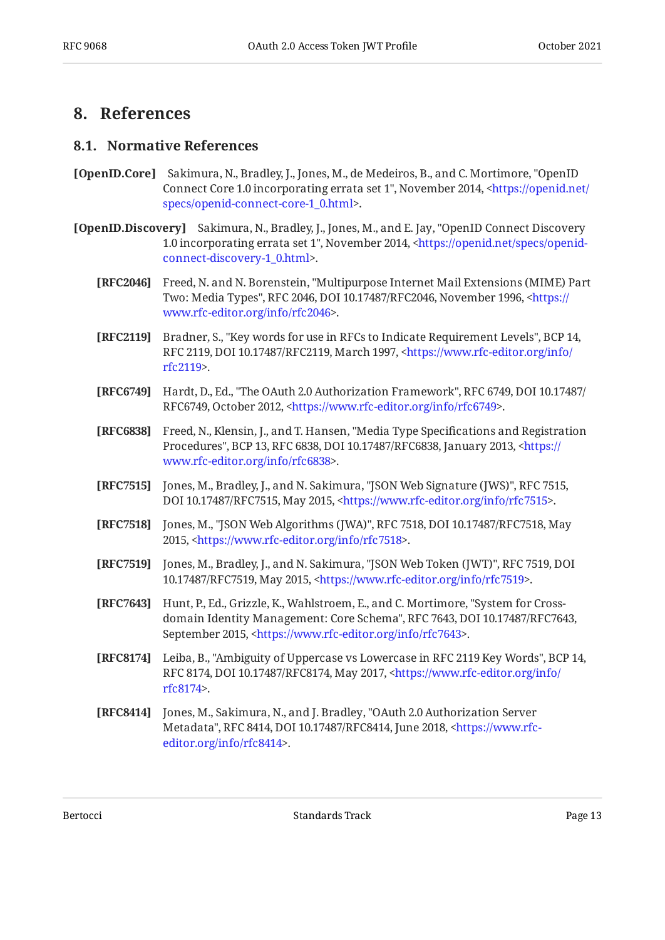### <span id="page-12-1"></span><span id="page-12-0"></span>**[8. References](#page-12-0)**

#### **[8.1. Normative References](#page-12-1)**

- <span id="page-12-8"></span>**[OpenID.Core]** Sakimura, N., Bradley, J., Jones, M., de Medeiros, B., and C. Mortimore, "OpenID Connect Core 1.0 incorporating errata set 1", November 2014, <[https://openid.net/](https://openid.net/specs/openid-connect-core-1_0.html) . [specs/openid-connect-core-1\\_0.html](https://openid.net/specs/openid-connect-core-1_0.html)>
- <span id="page-12-13"></span><span id="page-12-12"></span><span id="page-12-11"></span><span id="page-12-10"></span><span id="page-12-9"></span><span id="page-12-7"></span><span id="page-12-6"></span><span id="page-12-5"></span><span id="page-12-4"></span><span id="page-12-3"></span><span id="page-12-2"></span>**[OpenID.Discovery]** Sakimura, N., Bradley, J., Jones, M., and E. Jay, "OpenID Connect Discovery 1.0 incorporating errata set 1", November 2014, [<https://openid.net/specs/openid-](https://openid.net/specs/openid-connect-discovery-1_0.html). [connect-discovery-1\\_0.html](https://openid.net/specs/openid-connect-discovery-1_0.html)>
	- **[RFC2046]** Freed, N. and N. Borenstein, "Multipurpose Internet Mail Extensions (MIME) Part Two: Media Types", RFC 2046, DOI 10.17487/RFC2046, November 1996, <[https://](https://www.rfc-editor.org/info/rfc2046) . [www.rfc-editor.org/info/rfc2046>](https://www.rfc-editor.org/info/rfc2046)
	- **[RFC2119]** Bradner, S., "Key words for use in RFCs to Indicate Requirement Levels", BCP 14, RFC 2119, DOI 10.17487/RFC2119, March 1997, [<https://www.rfc-editor.org/info/](https://www.rfc-editor.org/info/rfc2119) . [rfc2119](https://www.rfc-editor.org/info/rfc2119)>
	- **[RFC6749]** Hardt, D., Ed., "The OAuth 2.0 Authorization Framework", RFC 6749, DOI 10.17487/ RFC6749, October 2012, [<https://www.rfc-editor.org/info/rfc6749](https://www.rfc-editor.org/info/rfc6749)>.
	- **[RFC6838]** Freed, N., Klensin, J., and T. Hansen, "Media Type Specifications and Registration Procedures", BCP 13, RFC 6838, DOI 10.17487/RFC6838, January 2013, [<https://](https://www.rfc-editor.org/info/rfc6838) . [www.rfc-editor.org/info/rfc6838>](https://www.rfc-editor.org/info/rfc6838)
	- **[RFC7515]** Jones, M., Bradley, J., and N. Sakimura, "JSON Web Signature (JWS)", RFC 7515, DOI 10.17487/RFC7515, May 2015, [<https://www.rfc-editor.org/info/rfc7515](https://www.rfc-editor.org/info/rfc7515)>.
	- **[RFC7518]** Jones, M., "JSON Web Algorithms (JWA)", RFC 7518, DOI 10.17487/RFC7518, May 2015, <https://www.rfc-editor.org/info/rfc7518>.
	- **[RFC7519]** Jones, M., Bradley, J., and N. Sakimura, "JSON Web Token (JWT)", RFC 7519, DOI 10.17487/RFC7519, May 2015, [<https://www.rfc-editor.org/info/rfc7519](https://www.rfc-editor.org/info/rfc7519)>.
	- **[RFC7643]** Hunt, P., Ed., Grizzle, K., Wahlstroem, E., and C. Mortimore, "System for Crossdomain Identity Management: Core Schema", RFC 7643, DOI 10.17487/RFC7643, September 2015, [<https://www.rfc-editor.org/info/rfc7643>](https://www.rfc-editor.org/info/rfc7643).
	- **[RFC8174]** Leiba, B., "Ambiguity of Uppercase vs Lowercase in RFC 2119 Key Words", BCP 14, RFC 8174, DOI 10.17487/RFC8174, May 2017, <[https://www.rfc-editor.org/info/](https://www.rfc-editor.org/info/rfc8174) . [rfc8174](https://www.rfc-editor.org/info/rfc8174)>
	- **[RFC8414]** Jones, M., Sakimura, N., and J. Bradley, "OAuth 2.0 Authorization Server Metadata", RFC 8414, DOI 10.17487/RFC8414, June 2018, [<https://www.rfc-](https://www.rfc-editor.org/info/rfc8414). [editor.org/info/rfc8414](https://www.rfc-editor.org/info/rfc8414)>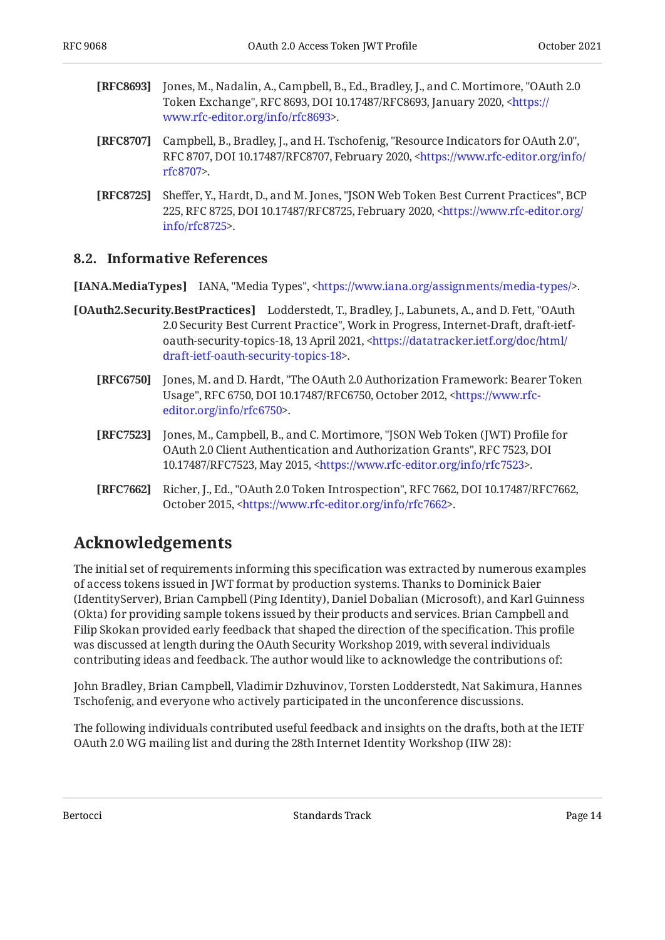- <span id="page-13-5"></span>**[RFC8693]** Jones, M., Nadalin, A., Campbell, B., Ed., Bradley, J., and C. Mortimore, "OAuth 2.0 Token Exchange", RFC 8693, DOI 10.17487/RFC8693, January 2020, <[https://](https://www.rfc-editor.org/info/rfc8693) . [www.rfc-editor.org/info/rfc8693>](https://www.rfc-editor.org/info/rfc8693)
- <span id="page-13-2"></span>**[RFC8707]** Campbell, B., Bradley, J., and H. Tschofenig, "Resource Indicators for OAuth 2.0", RFC 8707, DOI 10.17487/RFC8707, February 2020, [<https://www.rfc-editor.org/info/](https://www.rfc-editor.org/info/rfc8707) . [rfc8707](https://www.rfc-editor.org/info/rfc8707)>
- <span id="page-13-7"></span>**[RFC8725]** Sheffer, Y., Hardt, D., and M. Jones, "JSON Web Token Best Current Practices", BCP 225, RFC 8725, DOI 10.17487/RFC8725, February 2020, [<https://www.rfc-editor.org/](https://www.rfc-editor.org/info/rfc8725) . [info/rfc8725>](https://www.rfc-editor.org/info/rfc8725)

#### <span id="page-13-0"></span>**[8.2. Informative References](#page-13-0)**

<span id="page-13-9"></span>**[IANA.MediaTypes]** IANA, "Media Types", <https://www.iana.org/assignments/media-types/>.

- <span id="page-13-8"></span><span id="page-13-3"></span>**[OAuth2.Security.BestPractices]** Lodderstedt, T., Bradley, J., Labunets, A., and D. Fett, "OAuth 2.0 Security Best Current Practice", Work in Progress, Internet-Draft, draft-ietf-oauth-security-topics-18, 13 April 2021, [<https://datatracker.ietf.org/doc/html/](https://datatracker.ietf.org/doc/html/draft-ietf-oauth-security-topics-18) . [draft-ietf-oauth-security-topics-18>](https://datatracker.ietf.org/doc/html/draft-ietf-oauth-security-topics-18)
	- **[RFC6750]** Jones, M. and D. Hardt, "The OAuth 2.0 Authorization Framework: Bearer Token Usage", RFC 6750, DOI 10.17487/RFC6750, October 2012, <[https://www.rfc-](https://www.rfc-editor.org/info/rfc6750). [editor.org/info/rfc6750](https://www.rfc-editor.org/info/rfc6750)>
	- **[RFC7523]** Jones, M., Campbell, B., and C. Mortimore, "JSON Web Token (JWT) Profile for OAuth 2.0 Client Authentication and Authorization Grants", RFC 7523, DOI 10.17487/RFC7523, May 2015, <https://www.rfc-editor.org/info/rfc7523>.
	- **[RFC7662]** Richer, J., Ed., "OAuth 2.0 Token Introspection", RFC 7662, DOI 10.17487/RFC7662, October 2015, <https://www.rfc-editor.org/info/rfc7662>.

### <span id="page-13-6"></span><span id="page-13-4"></span><span id="page-13-1"></span>**[Acknowledgements](#page-13-1)**

The initial set of requirements informing this specification was extracted by numerous examples of access tokens issued in JWT format by production systems. Thanks to Dominick Baier (IdentityServer), Brian Campbell (Ping Identity), Daniel Dobalian (Microsoft), and Karl Guinness (Okta) for providing sample tokens issued by their products and services. Brian Campbell and Filip Skokan provided early feedback that shaped the direction of the specification. This profile was discussed at length during the OAuth Security Workshop 2019, with several individuals contributing ideas and feedback. The author would like to acknowledge the contributions of:

John Bradley, Brian Campbell, Vladimir Dzhuvinov, Torsten Lodderstedt, Nat Sakimura, Hannes Tschofenig, and everyone who actively participated in the unconference discussions.

The following individuals contributed useful feedback and insights on the drafts, both at the IETF OAuth 2.0 WG mailing list and during the 28th Internet Identity Workshop (IIW 28):